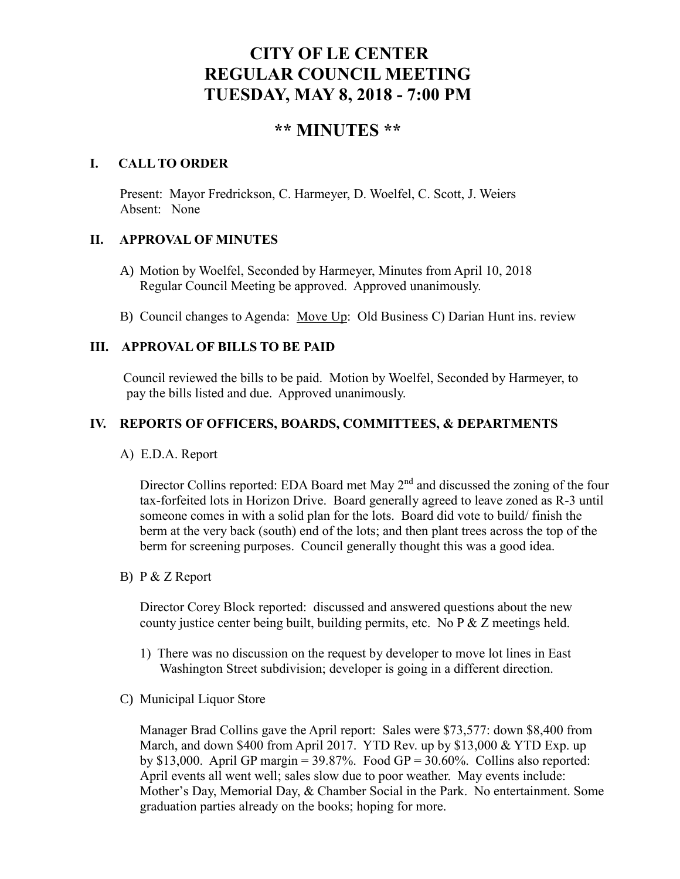# **CITY OF LE CENTER REGULAR COUNCIL MEETING TUESDAY, MAY 8, 2018 - 7:00 PM**

# **\*\* MINUTES \*\***

### **I. CALL TO ORDER**

Present: Mayor Fredrickson, C. Harmeyer, D. Woelfel, C. Scott, J. Weiers Absent: None

# **II. APPROVAL OF MINUTES**

- A) Motion by Woelfel, Seconded by Harmeyer, Minutes from April 10, 2018 Regular Council Meeting be approved. Approved unanimously.
- B) Council changes to Agenda: Move Up: Old Business C) Darian Hunt ins. review

# **III. APPROVAL OF BILLS TO BE PAID**

Council reviewed the bills to be paid. Motion by Woelfel, Seconded by Harmeyer, to pay the bills listed and due. Approved unanimously.

#### **IV. REPORTS OF OFFICERS, BOARDS, COMMITTEES, & DEPARTMENTS**

A) E.D.A. Report

Director Collins reported: EDA Board met May 2<sup>nd</sup> and discussed the zoning of the four tax-forfeited lots in Horizon Drive. Board generally agreed to leave zoned as R-3 until someone comes in with a solid plan for the lots. Board did vote to build/ finish the berm at the very back (south) end of the lots; and then plant trees across the top of the berm for screening purposes. Council generally thought this was a good idea.

B) P & Z Report

Director Corey Block reported: discussed and answered questions about the new county justice center being built, building permits, etc. No P & Z meetings held.

- 1) There was no discussion on the request by developer to move lot lines in East Washington Street subdivision; developer is going in a different direction.
- C) Municipal Liquor Store

Manager Brad Collins gave the April report: Sales were \$73,577: down \$8,400 from March, and down \$400 from April 2017. YTD Rev. up by \$13,000 & YTD Exp. up by \$13,000. April GP margin =  $39.87\%$ . Food GP =  $30.60\%$ . Collins also reported: April events all went well; sales slow due to poor weather. May events include: Mother's Day, Memorial Day, & Chamber Social in the Park. No entertainment. Some graduation parties already on the books; hoping for more.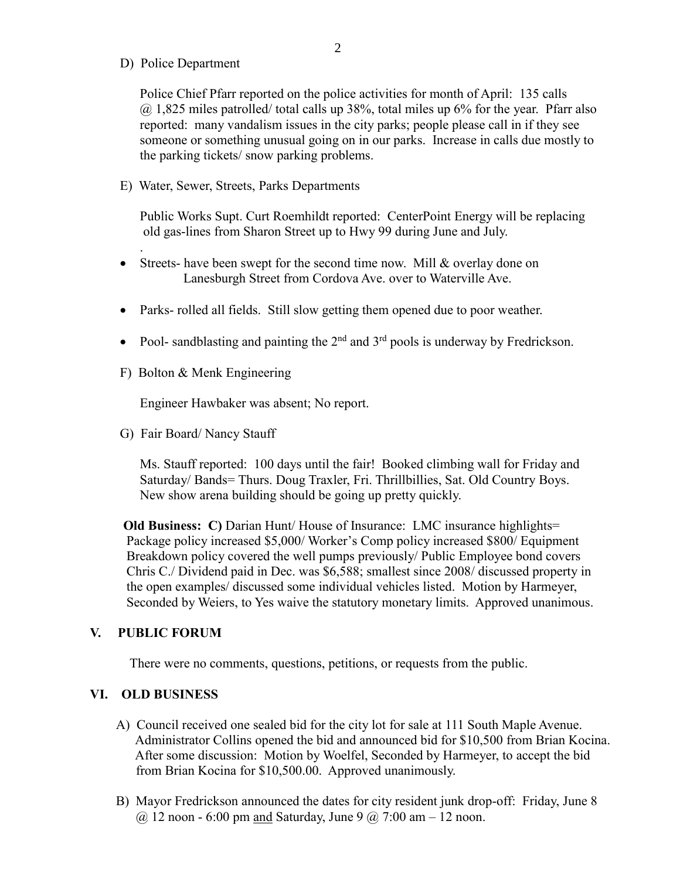D) Police Department

.

Police Chief Pfarr reported on the police activities for month of April: 135 calls  $@1,825$  miles patrolled/ total calls up 38%, total miles up 6% for the year. Pfarr also reported: many vandalism issues in the city parks; people please call in if they see someone or something unusual going on in our parks. Increase in calls due mostly to the parking tickets/ snow parking problems.

E) Water, Sewer, Streets, Parks Departments

 Public Works Supt. Curt Roemhildt reported: CenterPoint Energy will be replacing old gas-lines from Sharon Street up to Hwy 99 during June and July.

- Streets- have been swept for the second time now. Mill & overlay done on Lanesburgh Street from Cordova Ave. over to Waterville Ave.
- Parks- rolled all fields. Still slow getting them opened due to poor weather.
- Pool- sandblasting and painting the  $2<sup>nd</sup>$  and  $3<sup>rd</sup>$  pools is underway by Fredrickson.
- F) Bolton & Menk Engineering

Engineer Hawbaker was absent; No report.

G) Fair Board/ Nancy Stauff

 Ms. Stauff reported: 100 days until the fair! Booked climbing wall for Friday and Saturday/ Bands= Thurs. Doug Traxler, Fri. Thrillbillies, Sat. Old Country Boys. New show arena building should be going up pretty quickly.

 **Old Business: C)** Darian Hunt/ House of Insurance: LMC insurance highlights= Package policy increased \$5,000/ Worker's Comp policy increased \$800/ Equipment Breakdown policy covered the well pumps previously/ Public Employee bond covers Chris C./ Dividend paid in Dec. was \$6,588; smallest since 2008/ discussed property in the open examples/ discussed some individual vehicles listed. Motion by Harmeyer, Seconded by Weiers, to Yes waive the statutory monetary limits. Approved unanimous.

#### **V. PUBLIC FORUM**

There were no comments, questions, petitions, or requests from the public.

#### **VI. OLD BUSINESS**

- A) Council received one sealed bid for the city lot for sale at 111 South Maple Avenue. Administrator Collins opened the bid and announced bid for \$10,500 from Brian Kocina. After some discussion: Motion by Woelfel, Seconded by Harmeyer, to accept the bid from Brian Kocina for \$10,500.00. Approved unanimously.
- B) Mayor Fredrickson announced the dates for city resident junk drop-off: Friday, June 8  $(a)$  12 noon - 6:00 pm and Saturday, June 9  $(a)$  7:00 am - 12 noon.